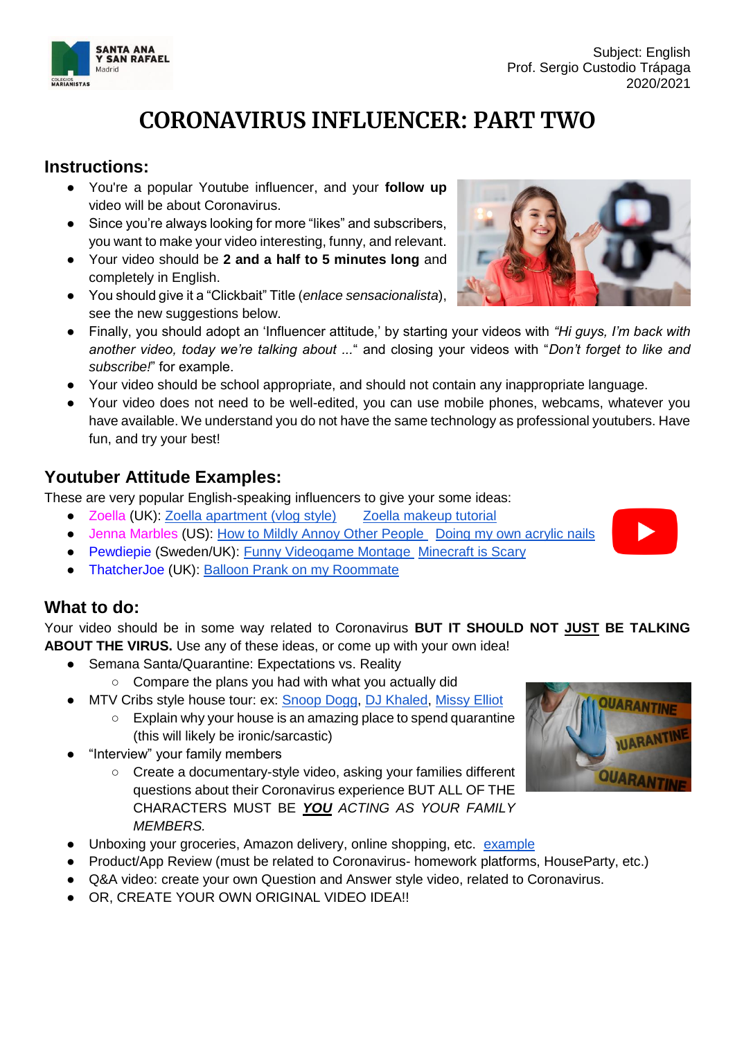# **CORONAVIRUS INFLUENCER: PART TWO**

### **Instructions:**

- You're a popular Youtube influencer, and your **follow up** video will be about Coronavirus.
- Since you're always looking for more "likes" and subscribers, you want to make your video interesting, funny, and relevant.
- Your video should be **2 and a half to 5 minutes long** and completely in English.
- You should give it a "Clickbait" Title (*enlace sensacionalista*), see the new suggestions below.
- Finally, you should adopt an 'Influencer attitude,' by starting your videos with *"Hi guys, I'm back with another video, today we're talking about ...*" and closing your videos with "*Don't forget to like and subscribe!*" for example.
- Your video should be school appropriate, and should not contain any inappropriate language.
- Your video does not need to be well-edited, you can use mobile phones, webcams, whatever you have available. We understand you do not have the same technology as professional youtubers. Have fun, and try your best!

### **Youtuber Attitude Examples:**

These are very popular English-speaking influencers to give your some ideas:

- Zoella (UK): [Zoella apartment \(vlog style\)](https://www.youtube.com/watch?v=uObxvjG06uA) Zoella makeup tutorial
- Jenna Marbles (US): [How to Mildly Annoy Other People](https://www.youtube.com/watch?v=iZJeCsXk17A) Doing my own acrylic nails
- Pewdiepie (Sweden/UK): [Funny Videogame Montage](https://www.youtube.com/watch?v=MkXVM6ad9nI) [Minecraft is Scary](https://www.youtube.com/watch?v=pss3lcx_C_8)
- ThatcherJoe (UK): Balloon Prank on my Roommate

#### **What to do:**

Your video should be in some way related to Coronavirus **BUT IT SHOULD NOT JUST BE TALKING ABOUT THE VIRUS.** Use any of these ideas, or come up with your own idea!

- Semana Santa/Quarantine: Expectations vs. Reality
	- Compare the plans you had with what you actually did
- MTV Cribs style house tour: ex: [Snoop Dogg,](https://www.youtube.com/watch?v=MGbWGnv7_vE) [DJ Khaled,](https://www.youtube.com/watch?v=2WvFumJrHu4) Missy Elliot
	- Explain why your house is an amazing place to spend quarantine (this will likely be ironic/sarcastic)
- "Interview" your family members
	- Create a documentary-style video, asking your families different questions about their Coronavirus experience BUT ALL OF THE CHARACTERS MUST BE *YOU ACTING AS YOUR FAMILY MEMBERS.*
- Unboxing your groceries, Amazon delivery, online shopping, etc. [example](https://www.youtube.com/watch?v=JypJ4z10cZI)
- Product/App Review (must be related to Coronavirus- homework platforms, HouseParty, etc.)
- Q&A video: create your own Question and Answer style video, related to Coronavirus.
- OR, CREATE YOUR OWN ORIGINAL VIDEO IDEA!!